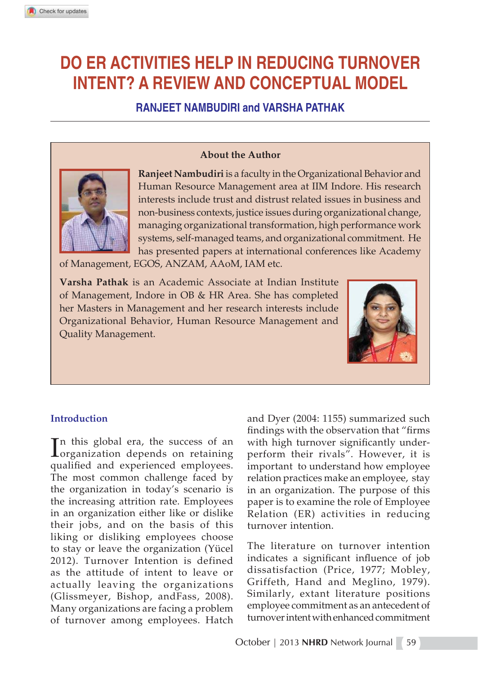# **DO ER ACTIVITIES HELP IN REDUCING TURNOVER INTENT? A REVIEW AND CONCEPTUAL MODEL**

**RANJEET NAMBUDIRI and VARSHA PATHAK**

#### **About the Author**



**Ranjeet Nambudiri** is a faculty in the Organizational Behavior and Human Resource Management area at IIM Indore. His research interests include trust and distrust related issues in business and non-business contexts, justice issues during organizational change, managing organizational transformation, high performance work systems, self-managed teams, and organizational commitment. He has presented papers at international conferences like Academy

of Management, EGOS, ANZAM, AAoM, IAM etc.

**Varsha Pathak** is an Academic Associate at Indian Institute of Management, Indore in OB & HR Area. She has completed her Masters in Management and her research interests include Organizational Behavior, Human Resource Management and Quality Management.



#### **Introduction**

In this global era, the success of an organization depends on retaining<br>
resultified and our viewed and organization  $\mathbf{T}$ n this global era, the success of an qualified and experienced employees. The most common challenge faced by the organization in today's scenario is the increasing attrition rate. Employees in an organization either like or dislike their jobs, and on the basis of this liking or disliking employees choose to stay or leave the organization (Yücel 2012). Turnover Intention is defined as the attitude of intent to leave or actually leaving the organizations (Glissmeyer, Bishop, andFass, 2008). Many organizations are facing a problem of turnover among employees. Hatch

and Dyer (2004: 1155) summarized such findings with the observation that "firms" with high turnover significantly underperform their rivals". However, it is important to understand how employee relation practices make an employee, stay in an organization. The purpose of this paper is to examine the role of Employee Relation (ER) activities in reducing turnover intention.

The literature on turnover intention indicates a significant influence of job dissatisfaction (Price, 1977; Mobley, Griffeth, Hand and Meglino, 1979). Similarly, extant literature positions employee commitment as an antecedent of turnover intent with enhanced commitment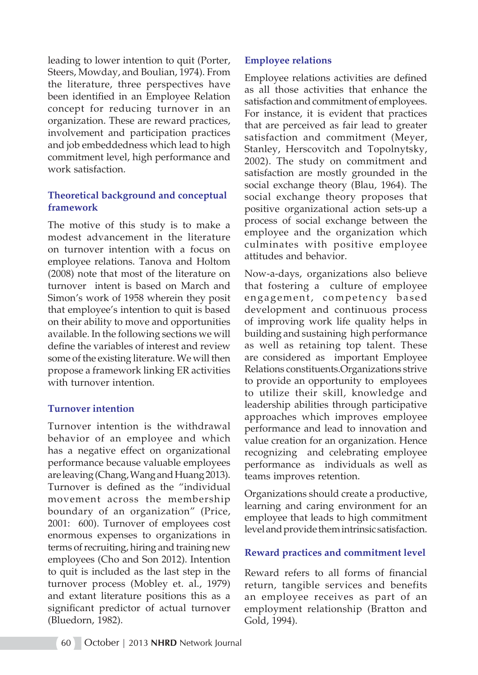leading to lower intention to quit (Porter, Steers, Mowday, and Boulian, 1974). From the literature, three perspectives have been identified in an Employee Relation concept for reducing turnover in an organization. These are reward practices, involvement and participation practices and job embeddedness which lead to high commitment level, high performance and work satisfaction.

## **Theoretical background and conceptual framework**

The motive of this study is to make a modest advancement in the literature on turnover intention with a focus on employee relations. Tanova and Holtom (2008) note that most of the literature on turnover intent is based on March and Simon's work of 1958 wherein they posit that employee's intention to quit is based on their ability to move and opportunities available. In the following sections we will define the variables of interest and review some of the existing literature. We will then propose a framework linking ER activities with turnover intention.

#### **Turnover intention**

Turnover intention is the withdrawal behavior of an employee and which has a negative effect on organizational performance because valuable employees are leaving (Chang, Wang and Huang 2013). Turnover is defined as the "individual movement across the membership boundary of an organization" (Price, 2001: 600). Turnover of employees cost enormous expenses to organizations in terms of recruiting, hiring and training new employees (Cho and Son 2012). Intention to quit is included as the last step in the turnover process (Mobley et. al., 1979) and extant literature positions this as a significant predictor of actual turnover (Bluedorn, 1982).

## **Employee relations**

Employee relations activities are defined as all those activities that enhance the satisfaction and commitment of employees. For instance, it is evident that practices that are perceived as fair lead to greater satisfaction and commitment (Meyer, Stanley, Herscovitch and Topolnytsky, 2002). The study on commitment and satisfaction are mostly grounded in the social exchange theory (Blau, 1964). The social exchange theory proposes that positive organizational action sets-up a process of social exchange between the employee and the organization which culminates with positive employee attitudes and behavior.

Now-a-days, organizations also believe that fostering a culture of employee engagement, competency based development and continuous process of improving work life quality helps in building and sustaining high performance as well as retaining top talent. These are considered as important Employee Relations constituents.Organizations strive to provide an opportunity to employees to utilize their skill, knowledge and leadership abilities through participative approaches which improves employee performance and lead to innovation and value creation for an organization. Hence recognizing and celebrating employee performance as individuals as well as teams improves retention.

Organizations should create a productive, learning and caring environment for an employee that leads to high commitment level and provide them intrinsic satisfaction.

# **Reward practices and commitment level**

Reward refers to all forms of financial return, tangible services and benefits an employee receives as part of an employment relationship (Bratton and Gold, 1994).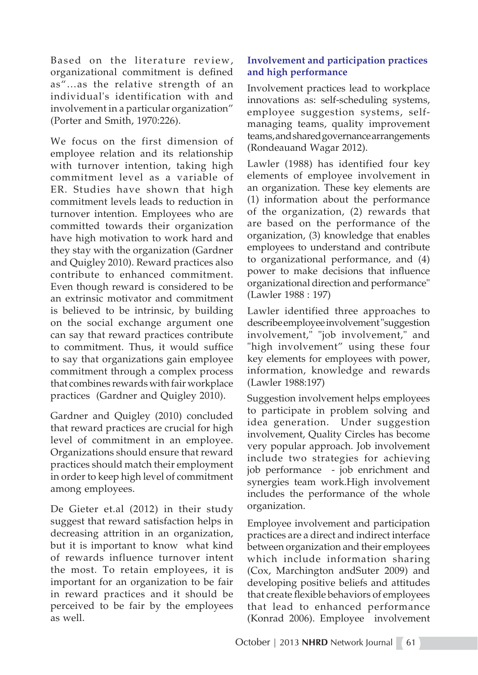Based on the literature review, organizational commitment is defined as"…as the relative strength of an individual's identification with and involvement in a particular organization" (Porter and Smith, 1970:226).

We focus on the first dimension of employee relation and its relationship with turnover intention, taking high commitment level as a variable of ER. Studies have shown that high commitment levels leads to reduction in turnover intention. Employees who are committed towards their organization have high motivation to work hard and they stay with the organization (Gardner and Quigley 2010). Reward practices also contribute to enhanced commitment. Even though reward is considered to be an extrinsic motivator and commitment is believed to be intrinsic, by building on the social exchange argument one can say that reward practices contribute to commitment. Thus, it would suffice to say that organizations gain employee commitment through a complex process that combines rewards with fair workplace practices (Gardner and Quigley 2010).

Gardner and Quigley (2010) concluded that reward practices are crucial for high level of commitment in an employee. Organizations should ensure that reward practices should match their employment in order to keep high level of commitment among employees.

De Gieter et.al (2012) in their study suggest that reward satisfaction helps in decreasing attrition in an organization, but it is important to know what kind of rewards influence turnover intent the most. To retain employees, it is important for an organization to be fair in reward practices and it should be perceived to be fair by the employees as well.

# **Involvement and participation practices and high performance**

Involvement practices lead to workplace innovations as: self-scheduling systems, employee suggestion systems, selfmanaging teams, quality improvement teams, and shared governance arrangements (Rondeauand Wagar 2012).

Lawler (1988) has identified four key elements of employee involvement in an organization. These key elements are (1) information about the performance of the organization, (2) rewards that are based on the performance of the organization, (3) knowledge that enables employees to understand and contribute to organizational performance, and (4) power to make decisions that influence organizational direction and performance" (Lawler 1988 : 197)

Lawler identified three approaches to describe employee involvement "suggestion involvement," "job involvement," and "high involvement" using these four key elements for employees with power, information, knowledge and rewards (Lawler 1988:197)

Suggestion involvement helps employees to participate in problem solving and idea generation. Under suggestion involvement, Quality Circles has become very popular approach. Job involvement include two strategies for achieving job performance - job enrichment and synergies team work.High involvement includes the performance of the whole organization.

Employee involvement and participation practices are a direct and indirect interface between organization and their employees which include information sharing (Cox, Marchington andSuter 2009) and developing positive beliefs and attitudes that create flexible behaviors of employees that lead to enhanced performance (Konrad 2006). Employee involvement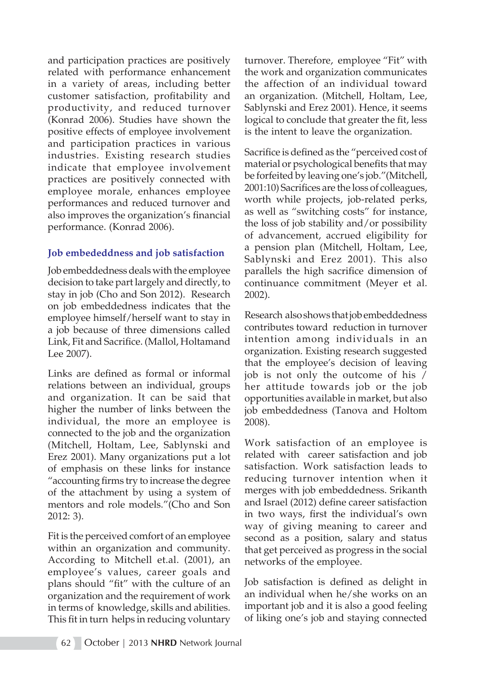and participation practices are positively related with performance enhancement in a variety of areas, including better customer satisfaction, profitability and productivity, and reduced turnover (Konrad 2006). Studies have shown the positive effects of employee involvement and participation practices in various industries. Existing research studies indicate that employee involvement practices are positively connected with employee morale, enhances employee performances and reduced turnover and also improves the organization's financial performance. (Konrad 2006).

# **Job embededdness and job satisfaction**

Job embeddedness deals with the employee decision to take part largely and directly, to stay in job (Cho and Son 2012). Research on job embeddedness indicates that the employee himself/herself want to stay in a job because of three dimensions called Link, Fit and Sacrifice. (Mallol, Holtamand Lee 2007).

Links are defined as formal or informal relations between an individual, groups and organization. It can be said that higher the number of links between the individual, the more an employee is connected to the job and the organization (Mitchell, Holtam, Lee, Sablynski and Erez 2001). Many organizations put a lot of emphasis on these links for instance "accounting firms try to increase the degree of the attachment by using a system of mentors and role models."(Cho and Son 2012: 3).

Fit is the perceived comfort of an employee within an organization and community. According to Mitchell et.al. (2001), an employee's values, career goals and plans should "fit" with the culture of an organization and the requirement of work in terms of knowledge, skills and abilities. This fit in turn helps in reducing voluntary

turnover. Therefore, employee "Fit" with the work and organization communicates the affection of an individual toward an organization. (Mitchell, Holtam, Lee, Sablynski and Erez 2001). Hence, it seems logical to conclude that greater the fit, less is the intent to leave the organization.

Sacrifice is defined as the "perceived cost of material or psychological benefits that may be forfeited by leaving one's job."(Mitchell, 2001:10) Sacrifices are the loss of colleagues, worth while projects, job-related perks, as well as "switching costs" for instance, the loss of job stability and/or possibility of advancement, accrued eligibility for a pension plan (Mitchell, Holtam, Lee, Sablynski and Erez 2001). This also parallels the high sacrifice dimension of continuance commitment (Meyer et al. 2002).

Research also shows that job embeddedness contributes toward reduction in turnover intention among individuals in an organization. Existing research suggested that the employee's decision of leaving job is not only the outcome of his / her attitude towards job or the job opportunities available in market, but also job embeddedness (Tanova and Holtom 2008).

Work satisfaction of an employee is related with career satisfaction and job satisfaction. Work satisfaction leads to reducing turnover intention when it merges with job embeddedness. Srikanth and Israel (2012) define career satisfaction in two ways, first the individual's own way of giving meaning to career and second as a position, salary and status that get perceived as progress in the social networks of the employee.

Job satisfaction is defined as delight in an individual when he/she works on an important job and it is also a good feeling of liking one's job and staying connected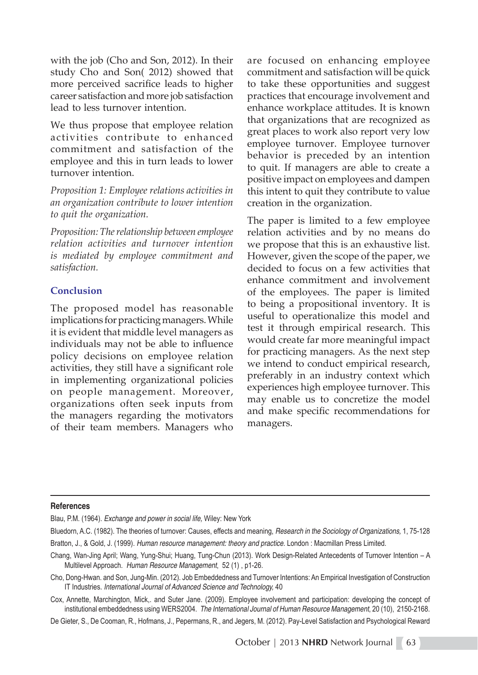with the job (Cho and Son, 2012). In their study Cho and Son( 2012) showed that more perceived sacrifice leads to higher career satisfaction and more job satisfaction lead to less turnover intention.

We thus propose that employee relation activities contribute to enhanced commitment and satisfaction of the employee and this in turn leads to lower turnover intention.

*Proposition 1: Employee relations activities in an organization contribute to lower intention to quit the organization.*

*Proposition: The relationship between employee relation activities and turnover intention is mediated by employee commitment and satisfaction.* 

# **Conclusion**

The proposed model has reasonable implications for practicing managers. While it is evident that middle level managers as individuals may not be able to influence policy decisions on employee relation activities, they still have a significant role in implementing organizational policies on people management. Moreover, organizations often seek inputs from the managers regarding the motivators of their team members. Managers who are focused on enhancing employee commitment and satisfaction will be quick to take these opportunities and suggest practices that encourage involvement and enhance workplace attitudes. It is known that organizations that are recognized as great places to work also report very low employee turnover. Employee turnover behavior is preceded by an intention to quit. If managers are able to create a positive impact on employees and dampen this intent to quit they contribute to value creation in the organization.

The paper is limited to a few employee relation activities and by no means do we propose that this is an exhaustive list. However, given the scope of the paper, we decided to focus on a few activities that enhance commitment and involvement of the employees. The paper is limited to being a propositional inventory. It is useful to operationalize this model and test it through empirical research. This would create far more meaningful impact for practicing managers. As the next step we intend to conduct empirical research, preferably in an industry context which experiences high employee turnover. This may enable us to concretize the model and make specific recommendations for managers.

#### **References**

Blau, P.M. (1964). *Exchange and power in social life,* Wiley: New York

Bluedorn, A.C. (1982). The theories of turnover: Causes, effects and meaning, *Research in the Sociology of Organizations,* 1, 75-128

Bratton, J., & Gold, J. (1999). *Human resource management: theory and practice*. London : Macmillan Press Limited.

Chang, Wan-Jing April; Wang, Yung-Shui; Huang, Tung-Chun (2013). Work Design-Related Antecedents of Turnover Intention – A Multilevel Approach. *Human Resource Management*, 52 (1) , p1-26.

Cho, Dong-Hwan. and Son, Jung-Min. (2012). Job Embeddedness and Turnover Intentions: An Empirical Investigation of Construction IT Industries*. International Journal of Advanced Science and Technology,* 40

Cox, Annette, Marchington, Mick,. and Suter Jane. (2009). Employee involvement and participation: developing the concept of institutional embeddedness using WERS2004. *The International Journal of Human Resource Management*, 20 (10), 2150-2168.

De Gieter, S., De Cooman, R., Hofmans, J., Pepermans, R., and Jegers, M. (2012). Pay-Level Satisfaction and Psychological Reward